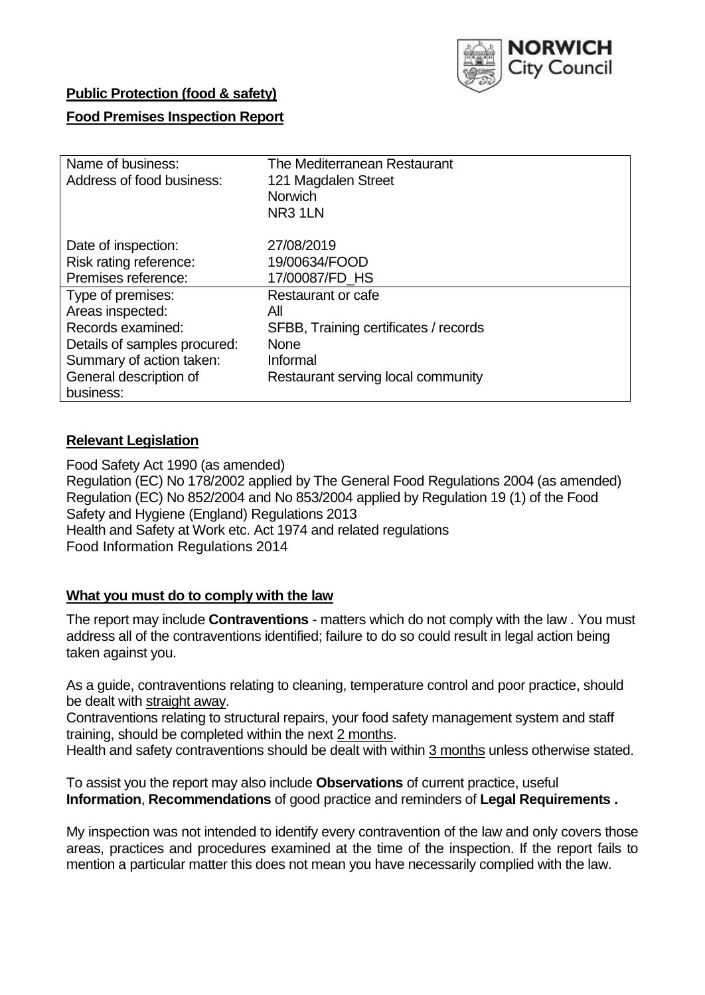

## **Public Protection (food & safety)**

### **Food Premises Inspection Report**

| Name of business:<br>Address of food business:                       | The Mediterranean Restaurant<br>121 Magdalen Street<br><b>Norwich</b><br>NR <sub>3</sub> 1LN |
|----------------------------------------------------------------------|----------------------------------------------------------------------------------------------|
| Date of inspection:<br>Risk rating reference:<br>Premises reference: | 27/08/2019<br>19/00634/FOOD<br>17/00087/FD HS                                                |
| Type of premises:                                                    | Restaurant or cafe                                                                           |
| Areas inspected:                                                     | All                                                                                          |
| Records examined:                                                    | SFBB, Training certificates / records                                                        |
| Details of samples procured:                                         | <b>None</b>                                                                                  |
| Summary of action taken:                                             | Informal                                                                                     |
| General description of                                               | Restaurant serving local community                                                           |
| business:                                                            |                                                                                              |

### **Relevant Legislation**

Food Safety Act 1990 (as amended) Regulation (EC) No 178/2002 applied by The General Food Regulations 2004 (as amended) Regulation (EC) No 852/2004 and No 853/2004 applied by Regulation 19 (1) of the Food Safety and Hygiene (England) Regulations 2013 Health and Safety at Work etc. Act 1974 and related regulations Food Information Regulations 2014

### **What you must do to comply with the law**

The report may include **Contraventions** - matters which do not comply with the law . You must address all of the contraventions identified; failure to do so could result in legal action being taken against you.

As a guide, contraventions relating to cleaning, temperature control and poor practice, should be dealt with straight away.

Contraventions relating to structural repairs, your food safety management system and staff training, should be completed within the next 2 months.

Health and safety contraventions should be dealt with within 3 months unless otherwise stated.

To assist you the report may also include **Observations** of current practice, useful **Information**, **Recommendations** of good practice and reminders of **Legal Requirements .**

My inspection was not intended to identify every contravention of the law and only covers those areas, practices and procedures examined at the time of the inspection. If the report fails to mention a particular matter this does not mean you have necessarily complied with the law.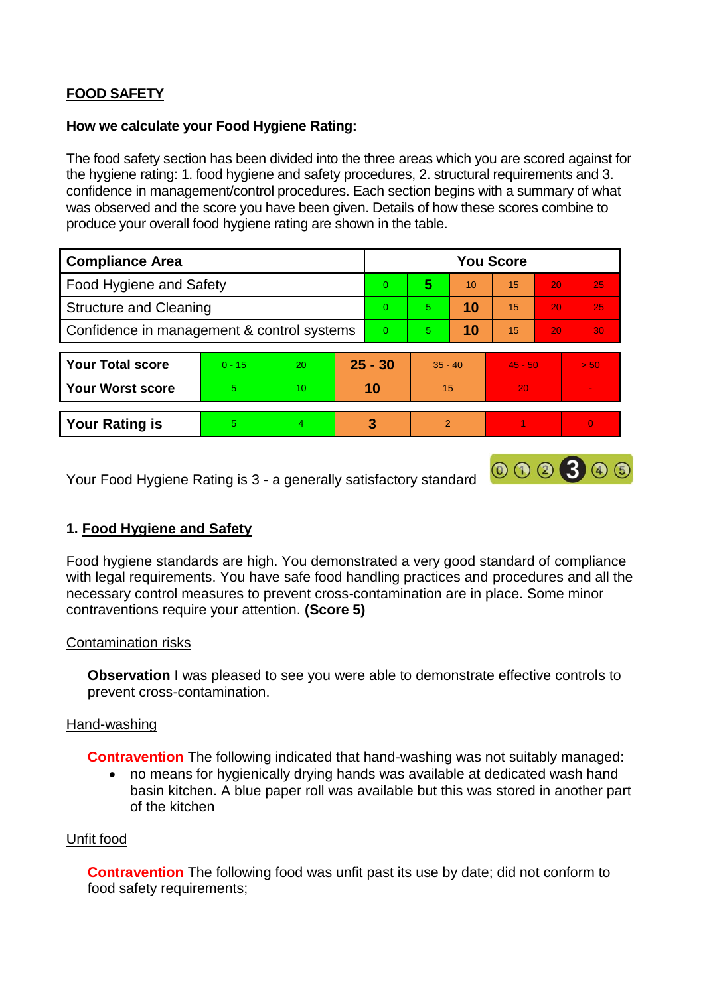# **FOOD SAFETY**

#### **How we calculate your Food Hygiene Rating:**

The food safety section has been divided into the three areas which you are scored against for the hygiene rating: 1. food hygiene and safety procedures, 2. structural requirements and 3. confidence in management/control procedures. Each section begins with a summary of what was observed and the score you have been given. Details of how these scores combine to produce your overall food hygiene rating are shown in the table.

| <b>Compliance Area</b>                     |          |    |           | <b>You Score</b> |                |    |           |    |                          |  |  |
|--------------------------------------------|----------|----|-----------|------------------|----------------|----|-----------|----|--------------------------|--|--|
| Food Hygiene and Safety                    |          |    |           | $\Omega$         | 5              | 10 | 15        | 20 | 25                       |  |  |
| <b>Structure and Cleaning</b>              |          |    | $\Omega$  | 5                | 10             | 15 | 20        | 25 |                          |  |  |
| Confidence in management & control systems |          |    | $\Omega$  | 5                | 10             | 15 | 20        | 30 |                          |  |  |
|                                            |          |    |           |                  |                |    |           |    |                          |  |  |
| <b>Your Total score</b>                    | $0 - 15$ | 20 | $25 - 30$ |                  | $35 - 40$      |    | $45 - 50$ |    | > 50                     |  |  |
| <b>Your Worst score</b>                    | 5        | 10 | 10        |                  | 15             |    | 20        |    | $\overline{\phantom{a}}$ |  |  |
|                                            |          |    |           |                  |                |    |           |    |                          |  |  |
| <b>Your Rating is</b>                      | 5        | 4  |           | 3                | $\overline{2}$ |    |           |    |                          |  |  |

Your Food Hygiene Rating is 3 - a generally satisfactory standard

## **1. Food Hygiene and Safety**

Food hygiene standards are high. You demonstrated a very good standard of compliance with legal requirements. You have safe food handling practices and procedures and all the necessary control measures to prevent cross-contamination are in place. Some minor contraventions require your attention. **(Score 5)**

000300

### Contamination risks

**Observation** I was pleased to see you were able to demonstrate effective controls to prevent cross-contamination.

### Hand-washing

**Contravention** The following indicated that hand-washing was not suitably managed:

 no means for hygienically drying hands was available at dedicated wash hand basin kitchen. A blue paper roll was available but this was stored in another part of the kitchen

### Unfit food

**Contravention** The following food was unfit past its use by date; did not conform to food safety requirements;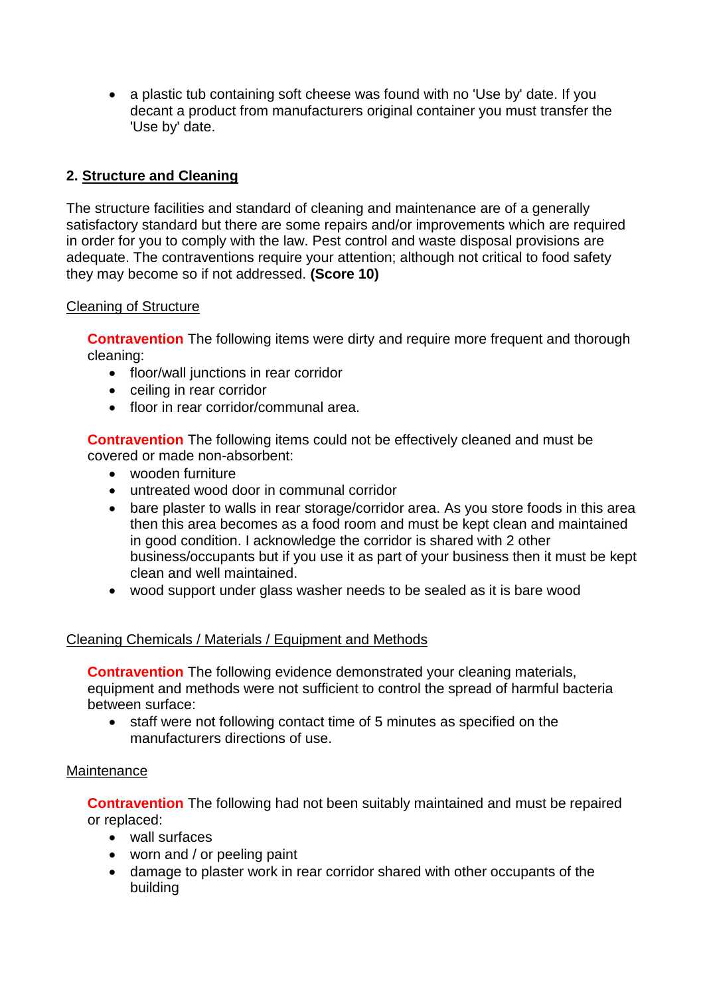• a plastic tub containing soft cheese was found with no 'Use by' date. If you decant a product from manufacturers original container you must transfer the 'Use by' date.

# **2. Structure and Cleaning**

The structure facilities and standard of cleaning and maintenance are of a generally satisfactory standard but there are some repairs and/or improvements which are required in order for you to comply with the law. Pest control and waste disposal provisions are adequate. The contraventions require your attention; although not critical to food safety they may become so if not addressed. **(Score 10)**

### Cleaning of Structure

**Contravention** The following items were dirty and require more frequent and thorough cleaning:

- floor/wall junctions in rear corridor
- ceiling in rear corridor
- floor in rear corridor/communal area.

**Contravention** The following items could not be effectively cleaned and must be covered or made non-absorbent:

- wooden furniture
- untreated wood door in communal corridor
- bare plaster to walls in rear storage/corridor area. As you store foods in this area then this area becomes as a food room and must be kept clean and maintained in good condition. I acknowledge the corridor is shared with 2 other business/occupants but if you use it as part of your business then it must be kept clean and well maintained.
- wood support under glass washer needs to be sealed as it is bare wood

### Cleaning Chemicals / Materials / Equipment and Methods

**Contravention** The following evidence demonstrated your cleaning materials, equipment and methods were not sufficient to control the spread of harmful bacteria between surface:

 staff were not following contact time of 5 minutes as specified on the manufacturers directions of use.

### **Maintenance**

**Contravention** The following had not been suitably maintained and must be repaired or replaced:

- wall surfaces
- worn and / or peeling paint
- damage to plaster work in rear corridor shared with other occupants of the building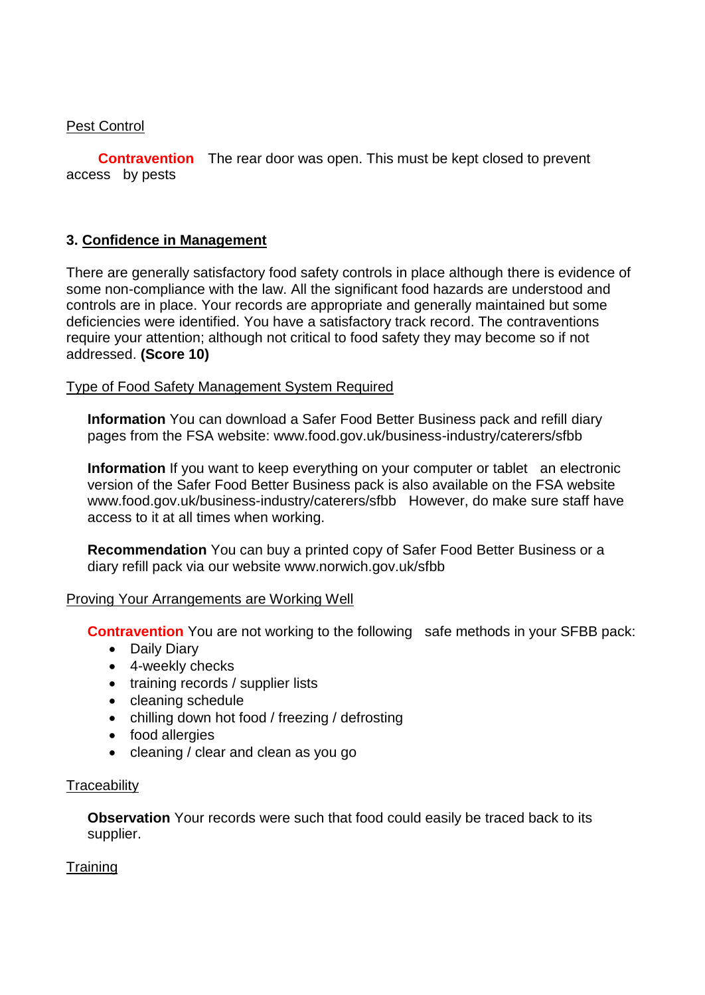### Pest Control

 **Contravention** The rear door was open. This must be kept closed to prevent access by pests

### **3. Confidence in Management**

There are generally satisfactory food safety controls in place although there is evidence of some non-compliance with the law. All the significant food hazards are understood and controls are in place. Your records are appropriate and generally maintained but some deficiencies were identified. You have a satisfactory track record. The contraventions require your attention; although not critical to food safety they may become so if not addressed. **(Score 10)**

### Type of Food Safety Management System Required

**Information** You can download a Safer Food Better Business pack and refill diary pages from the FSA website: www.food.gov.uk/business-industry/caterers/sfbb

**Information** If you want to keep everything on your computer or tablet an electronic version of the Safer Food Better Business pack is also available on the FSA website www.food.gov.uk/business-industry/caterers/sfbb However, do make sure staff have access to it at all times when working.

**Recommendation** You can buy a printed copy of Safer Food Better Business or a diary refill pack via our website www.norwich.gov.uk/sfbb

### Proving Your Arrangements are Working Well

**Contravention** You are not working to the following safe methods in your SFBB pack:

- Daily Diary
- 4-weekly checks
- training records / supplier lists
- cleaning schedule
- chilling down hot food / freezing / defrosting
- food allergies
- cleaning / clear and clean as you go

### **Traceability**

**Observation** Your records were such that food could easily be traced back to its supplier.

### **Training**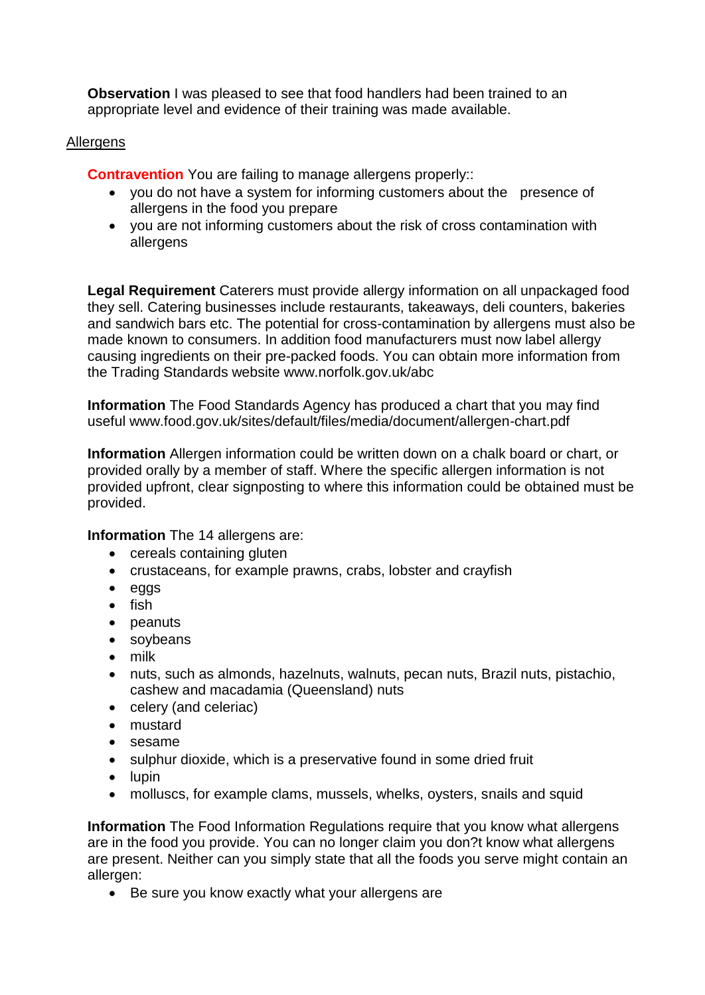**Observation** I was pleased to see that food handlers had been trained to an appropriate level and evidence of their training was made available.

#### **Allergens**

**Contravention** You are failing to manage allergens properly::

- vou do not have a system for informing customers about the presence of allergens in the food you prepare
- you are not informing customers about the risk of cross contamination with allergens

**Legal Requirement** Caterers must provide allergy information on all unpackaged food they sell. Catering businesses include restaurants, takeaways, deli counters, bakeries and sandwich bars etc. The potential for cross-contamination by allergens must also be made known to consumers. In addition food manufacturers must now label allergy causing ingredients on their pre-packed foods. You can obtain more information from the Trading Standards website www.norfolk.gov.uk/abc

**Information** The Food Standards Agency has produced a chart that you may find useful www.food.gov.uk/sites/default/files/media/document/allergen-chart.pdf

**Information** Allergen information could be written down on a chalk board or chart, or provided orally by a member of staff. Where the specific allergen information is not provided upfront, clear signposting to where this information could be obtained must be provided.

**Information** The 14 allergens are:

- cereals containing gluten
- crustaceans, for example prawns, crabs, lobster and crayfish
- eggs
- $\bullet$  fish
- peanuts
- soybeans
- milk
- nuts, such as almonds, hazelnuts, walnuts, pecan nuts, Brazil nuts, pistachio, cashew and macadamia (Queensland) nuts
- celery (and celeriac)
- mustard
- sesame
- sulphur dioxide, which is a preservative found in some dried fruit
- $\bullet$  lupin
- molluscs, for example clams, mussels, whelks, oysters, snails and squid

**Information** The Food Information Regulations require that you know what allergens are in the food you provide. You can no longer claim you don?t know what allergens are present. Neither can you simply state that all the foods you serve might contain an allergen:

Be sure you know exactly what your allergens are